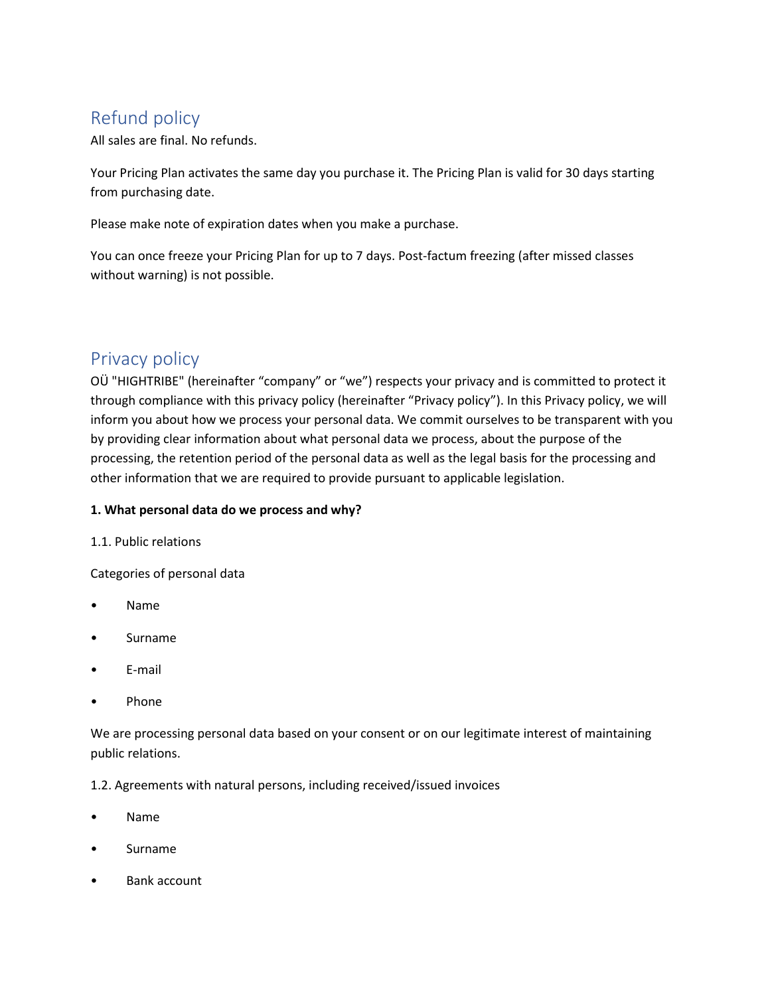# Refund policy

All sales are final. No refunds.

Your Pricing Plan activates the same day you purchase it. The Pricing Plan is valid for 30 days starting from purchasing date.

Please make note of expiration dates when you make a purchase.

You can once freeze your Pricing Plan for up to 7 days. Post-factum freezing (after missed classes without warning) is not possible.

## Privacy policy

OÜ "HIGHTRIBE" (hereinafter "company" or "we") respects your privacy and is committed to protect it through compliance with this privacy policy (hereinafter "Privacy policy"). In this Privacy policy, we will inform you about how we process your personal data. We commit ourselves to be transparent with you by providing clear information about what personal data we process, about the purpose of the processing, the retention period of the personal data as well as the legal basis for the processing and other information that we are required to provide pursuant to applicable legislation.

## **1. What personal data do we process and why?**

1.1. Public relations

Categories of personal data

- Name
- Surname
- E-mail
- Phone

We are processing personal data based on your consent or on our legitimate interest of maintaining public relations.

1.2. Agreements with natural persons, including received/issued invoices

- Name
- Surname
- Bank account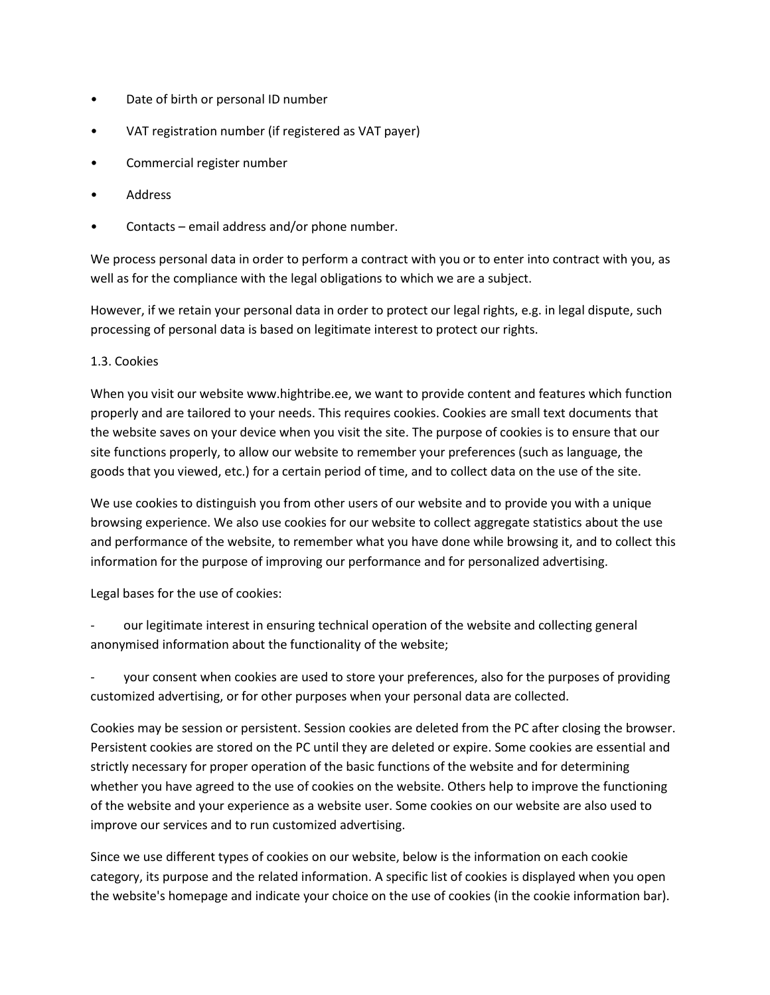- Date of birth or personal ID number
- VAT registration number (if registered as VAT payer)
- Commercial register number
- **Address**
- Contacts email address and/or phone number.

We process personal data in order to perform a contract with you or to enter into contract with you, as well as for the compliance with the legal obligations to which we are a subject.

However, if we retain your personal data in order to protect our legal rights, e.g. in legal dispute, such processing of personal data is based on legitimate interest to protect our rights.

## 1.3. Cookies

When you visit our website [www.hightribe.ee,](www.hightribe.ee) we want to provide content and features which function properly and are tailored to your needs. This requires cookies. Cookies are small text documents that the website saves on your device when you visit the site. The purpose of cookies is to ensure that our site functions properly, to allow our website to remember your preferences (such as language, the goods that you viewed, etc.) for a certain period of time, and to collect data on the use of the site.

We use cookies to distinguish you from other users of our website and to provide you with a unique browsing experience. We also use cookies for our website to collect aggregate statistics about the use and performance of the website, to remember what you have done while browsing it, and to collect this information for the purpose of improving our performance and for personalized advertising.

Legal bases for the use of cookies:

our legitimate interest in ensuring technical operation of the website and collecting general anonymised information about the functionality of the website;

your consent when cookies are used to store your preferences, also for the purposes of providing customized advertising, or for other purposes when your personal data are collected.

Cookies may be session or persistent. Session cookies are deleted from the PC after closing the browser. Persistent cookies are stored on the PC until they are deleted or expire. Some cookies are essential and strictly necessary for proper operation of the basic functions of the website and for determining whether you have agreed to the use of cookies on the website. Others help to improve the functioning of the website and your experience as a website user. Some cookies on our website are also used to improve our services and to run customized advertising.

Since we use different types of cookies on our website, below is the information on each cookie category, its purpose and the related information. A specific list of cookies is displayed when you open the website's homepage and indicate your choice on the use of cookies (in the cookie information bar).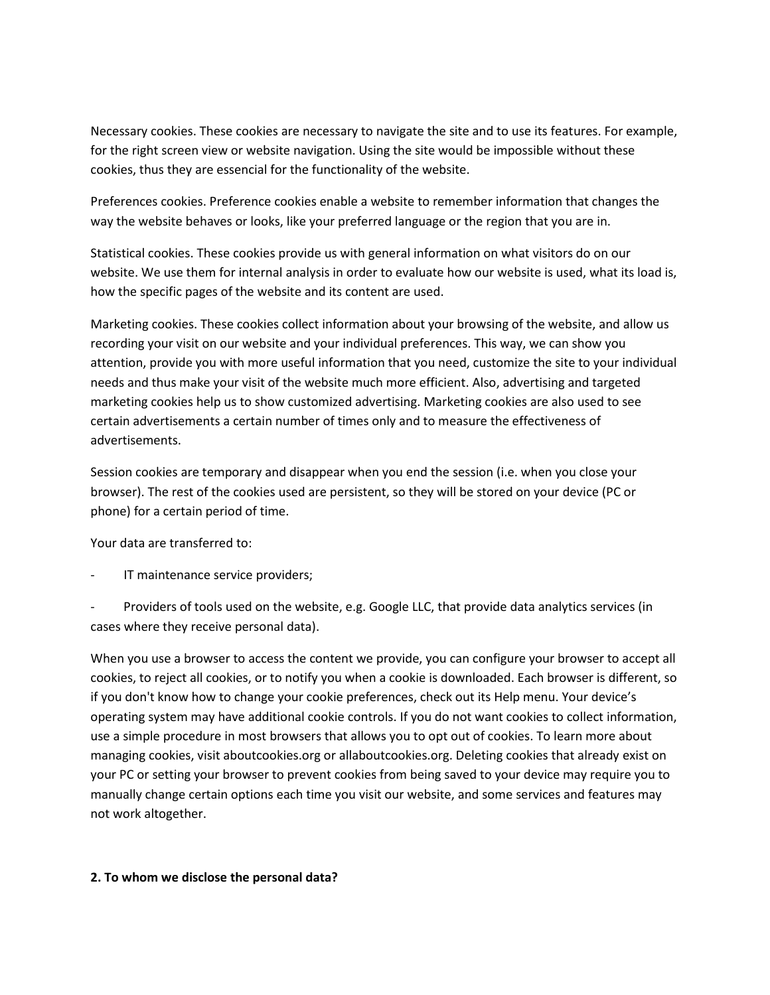Necessary cookies. These cookies are necessary to navigate the site and to use its features. For example, for the right screen view or website navigation. Using the site would be impossible without these cookies, thus they are essencial for the functionality of the website.

Preferences cookies. Preference cookies enable a website to remember information that changes the way the website behaves or looks, like your preferred language or the region that you are in.

Statistical cookies. These cookies provide us with general information on what visitors do on our website. We use them for internal analysis in order to evaluate how our website is used, what its load is, how the specific pages of the website and its content are used.

Marketing cookies. These cookies collect information about your browsing of the website, and allow us recording your visit on our website and your individual preferences. This way, we can show you attention, provide you with more useful information that you need, customize the site to your individual needs and thus make your visit of the website much more efficient. Also, advertising and targeted marketing cookies help us to show customized advertising. Marketing cookies are also used to see certain advertisements a certain number of times only and to measure the effectiveness of advertisements.

Session cookies are temporary and disappear when you end the session (i.e. when you close your browser). The rest of the cookies used are persistent, so they will be stored on your device (PC or phone) for a certain period of time.

Your data are transferred to:

IT maintenance service providers;

Providers of tools used on the website, e.g. Google LLC, that provide data analytics services (in cases where they receive personal data).

When you use a browser to access the content we provide, you can configure your browser to accept all cookies, to reject all cookies, or to notify you when a cookie is downloaded. Each browser is different, so if you don't know how to change your cookie preferences, check out its Help menu. Your device's operating system may have additional cookie controls. If you do not want cookies to collect information, use a simple procedure in most browsers that allows you to opt out of cookies. To learn more about managing cookies, visit aboutcookies.org or allaboutcookies.org. Deleting cookies that already exist on your PC or setting your browser to prevent cookies from being saved to your device may require you to manually change certain options each time you visit our website, and some services and features may not work altogether.

#### **2. To whom we disclose the personal data?**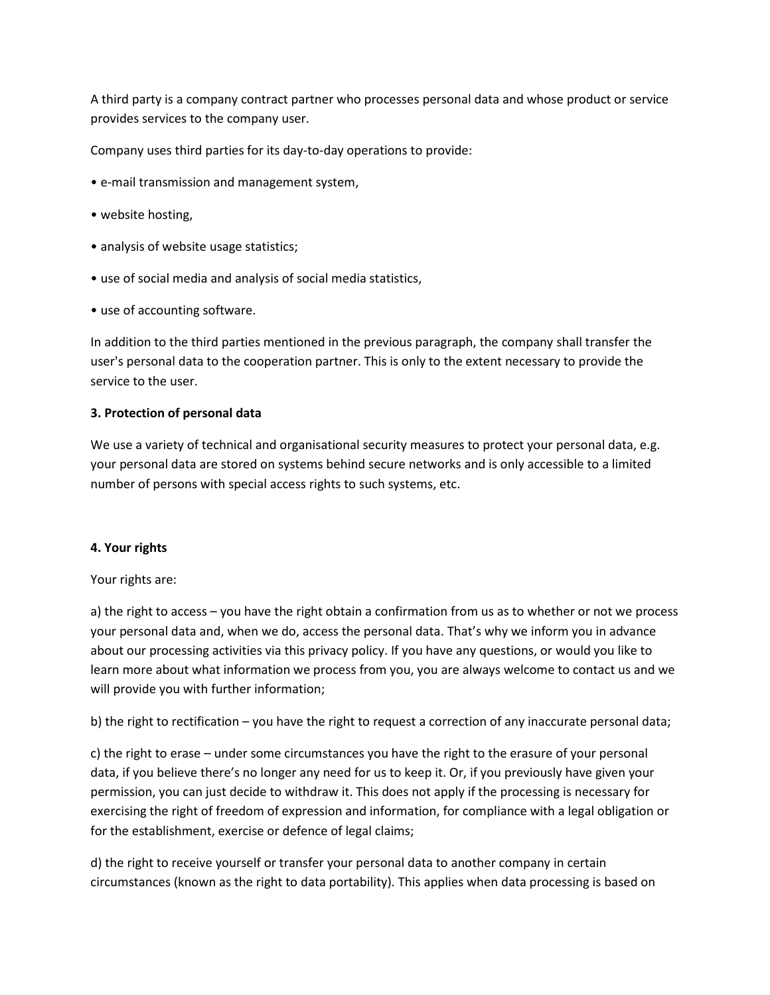A third party is a company contract partner who processes personal data and whose product or service provides services to the company user.

Company uses third parties for its day-to-day operations to provide:

- e-mail transmission and management system,
- website hosting,
- analysis of website usage statistics;
- use of social media and analysis of social media statistics,
- use of accounting software.

In addition to the third parties mentioned in the previous paragraph, the company shall transfer the user's personal data to the cooperation partner. This is only to the extent necessary to provide the service to the user.

#### **3. Protection of personal data**

We use a variety of technical and organisational security measures to protect your personal data, e.g. your personal data are stored on systems behind secure networks and is only accessible to a limited number of persons with special access rights to such systems, etc.

#### **4. Your rights**

Your rights are:

a) the right to access – you have the right obtain a confirmation from us as to whether or not we process your personal data and, when we do, access the personal data. That's why we inform you in advance about our processing activities via this privacy policy. If you have any questions, or would you like to learn more about what information we process from you, you are always welcome to contact us and we will provide you with further information;

b) the right to rectification – you have the right to request a correction of any inaccurate personal data;

c) the right to erase – under some circumstances you have the right to the erasure of your personal data, if you believe there's no longer any need for us to keep it. Or, if you previously have given your permission, you can just decide to withdraw it. This does not apply if the processing is necessary for exercising the right of freedom of expression and information, for compliance with a legal obligation or for the establishment, exercise or defence of legal claims;

d) the right to receive yourself or transfer your personal data to another company in certain circumstances (known as the right to data portability). This applies when data processing is based on